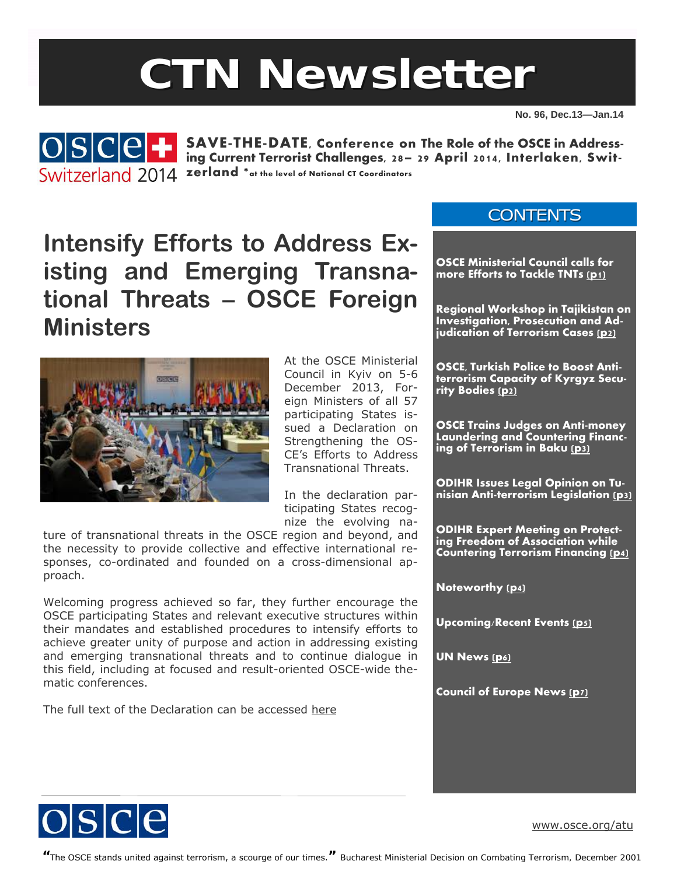# **CTN Newsletter**

**No. 96, Dec.13—Jan.14** 



**SAVE-THE-DATE, Conference on The Role of the OSCE in Addressing Current Terrorist Challenges, 28– 29 April 2014, Interlaken, Swit-***<u>SWITZARIANC</u>* 2014 zerland \*at the level of National CT Coordinators

## **Intensify Efforts to Address Existing and Emerging Transnational Threats – OSCE Foreign Ministers**



At the OSCE Ministerial Council in Kyiv on 5-6 December 2013, Foreign Ministers of all 57 participating States issued a Declaration on Strengthening the OS-CE's Efforts to Address Transnational Threats.

In the declaration participating States recognize the evolving na-

ture of transnational threats in the OSCE region and beyond, and the necessity to provide collective and effective international responses, co-ordinated and founded on a cross-dimensional approach.

Welcoming progress achieved so far, they further encourage the OSCE participating States and relevant executive structures within their mandates and established procedures to intensify efforts to achieve greater unity of purpose and action in addressing existing and emerging transnational threats and to continue dialogue in this field, including at focused and result-oriented OSCE-wide thematic conferences.

The full text of the Declaration can be accessed here

#### **CONTENTS**

**OSCE Ministerial Council calls for more Efforts to Tackle TNTs (p1)** 

**Regional Workshop in Tajikistan on Investigation, Prosecution and Adjudication of Terrorism Cases [\(p2\)](#page-1-0)** 

**OSCE, Turkish Police to Boost Antiterrorism Capacity of Kyrgyz Security Bodie[s \(p2](#page-1-0))** 

**OSCE Trains Judges on Anti-money Laundering and Countering Financing of Terrorism in Baku [\(p3\)](#page-2-0)** 

**ODIHR Issues Legal Opinion on Tunisian Anti-terrorism Legislation [\(p3\)](#page-2-0)** 

**ODIHR Expert Meeting on Protecting Freedom of Association while Countering Terrorism Financing [\(p4](#page-3-0))** 

**Noteworthy [\(p4\)](#page-3-0)** 

**Upcoming/Recent Events [\(p5\)](#page-4-0)** 

**UN News (p6)** 

**Council of Europe News [\(p7\)](#page-6-0)** 



[www.osce.org/atu](http://www.osce.org/atu)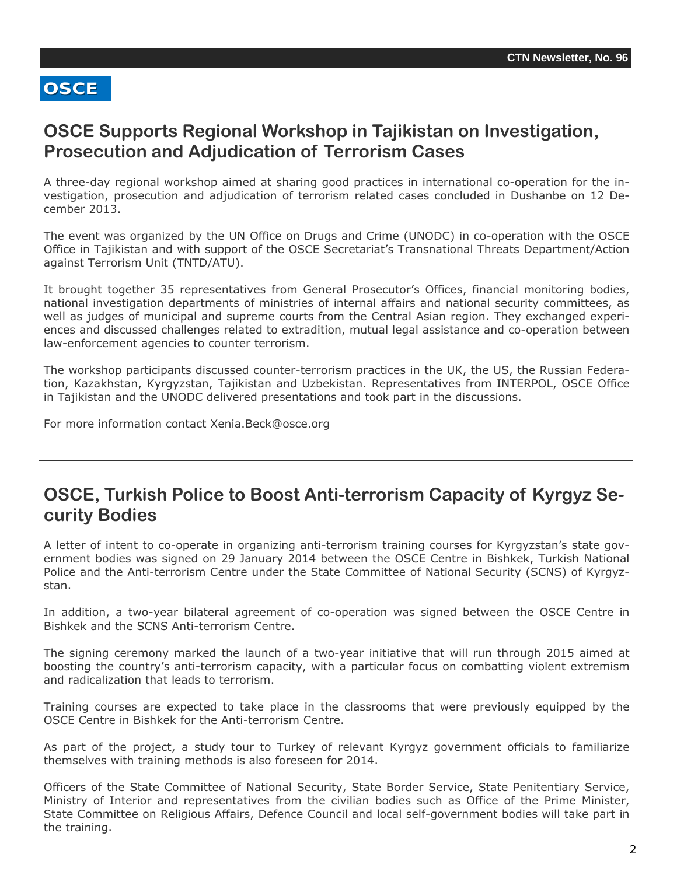#### <span id="page-1-0"></span>**OSCE Supports Regional Workshop in Tajikistan on Investigation, Prosecution and Adjudication of Terrorism Cases**

A three-day regional workshop aimed at sharing good practices in international co-operation for the investigation, prosecution and adjudication of terrorism related cases concluded in Dushanbe on 12 December 2013.

The event was organized by the UN Office on Drugs and Crime (UNODC) in co-operation with the OSCE Office in Tajikistan and with support of the OSCE Secretariat's Transnational Threats Department/Action against Terrorism Unit (TNTD/ATU).

It brought together 35 representatives from General Prosecutor's Offices, financial monitoring bodies, national investigation departments of ministries of internal affairs and national security committees, as well as judges of municipal and supreme courts from the Central Asian region. They exchanged experiences and discussed challenges related to extradition, mutual legal assistance and co-operation between law-enforcement agencies to counter terrorism.

The workshop participants discussed counter-terrorism practices in the UK, the US, the Russian Federation, Kazakhstan, Kyrgyzstan, Tajikistan and Uzbekistan. Representatives from INTERPOL, OSCE Office in Tajikistan and the UNODC delivered presentations and took part in the discussions.

For more information contact [Xenia.Beck@osce.org](mailto:Xenia.Beck@osce.org)

#### **OSCE, Turkish Police to Boost Anti-terrorism Capacity of Kyrgyz Security Bodies**

A letter of intent to co-operate in organizing anti-terrorism training courses for Kyrgyzstan's state government bodies was signed on 29 January 2014 between the OSCE Centre in Bishkek, Turkish National Police and the Anti-terrorism Centre under the State Committee of National Security (SCNS) of Kyrgyzstan.

In addition, a two-year bilateral agreement of co-operation was signed between the OSCE Centre in Bishkek and the SCNS Anti-terrorism Centre.

The signing ceremony marked the launch of a two-year initiative that will run through 2015 aimed at boosting the country's anti-terrorism capacity, with a particular focus on combatting violent extremism and radicalization that leads to terrorism.

Training courses are expected to take place in the classrooms that were previously equipped by the OSCE Centre in Bishkek for the Anti-terrorism Centre.

As part of the project, a study tour to Turkey of relevant Kyrgyz government officials to familiarize themselves with training methods is also foreseen for 2014.

Philistry of Thterior and Tepresentatives from the civilian bodies such as Onice of the Philie Philister,<br>State Committee on Religious Affairs, Defence Council and local self-government bodies will take part in Officers of the State Committee of National Security, State Border Service, State Penitentiary Service, Ministry of Interior and representatives from the civilian bodies such as Office of the Prime Minister, the training.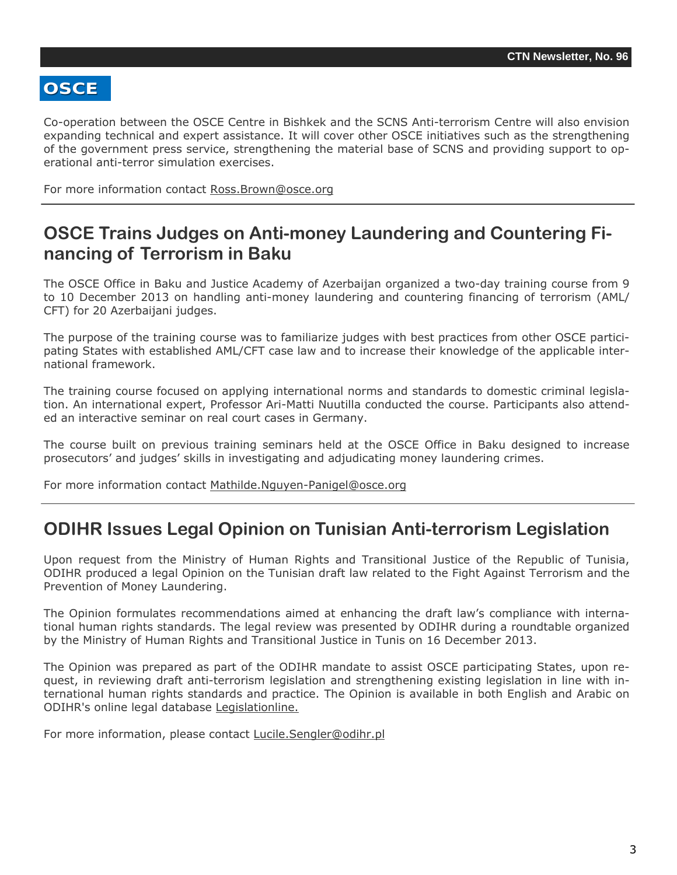<span id="page-2-0"></span>Co-operation between the OSCE Centre in Bishkek and the SCNS Anti-terrorism Centre will also envision expanding technical and expert assistance. It will cover other OSCE initiatives such as the strengthening of the government press service, strengthening the material base of SCNS and providing support to operational anti-terror simulation exercises.

For more information contact [Ross.Brown@osce.org](mailto:Ross.Brown@osce.org) 

#### **OSCE Trains Judges on Anti-money Laundering and Countering Financing of Terrorism in Baku**

The OSCE Office in Baku and Justice Academy of Azerbaijan organized a two-day training course from 9 to 10 December 2013 on handling anti-money laundering and countering financing of terrorism (AML/ CFT) for 20 Azerbaijani judges.

The purpose of the training course was to familiarize judges with best practices from other OSCE participating States with established AML/CFT case law and to increase their knowledge of the applicable international framework.

The training course focused on applying international norms and standards to domestic criminal legislation. An international expert, Professor Ari-Matti Nuutilla conducted the course. Participants also attended an interactive seminar on real court cases in Germany.

The course built on previous training seminars held at the OSCE Office in Baku designed to increase prosecutors' and judges' skills in investigating and adjudicating money laundering crimes.

For more information contact [Mathilde.Nguyen-Panigel@osce.org](mailto:Mathilde.Nguyen-Panigel@osce.org) 

#### **ODIHR Issues Legal Opinion on Tunisian Anti-terrorism Legislation**

Upon request from the Ministry of Human Rights and Transitional Justice of the Republic of Tunisia, ODIHR produced a legal Opinion on the Tunisian draft law related to the Fight Against Terrorism and the Prevention of Money Laundering.

The Opinion formulates recommendations aimed at enhancing the draft law's compliance with international human rights standards. The legal review was presented by ODIHR during a roundtable organized by the Ministry of Human Rights and Transitional Justice in Tunis on 16 December 2013.

The Opinion was prepared as part of the ODIHR mandate to assist OSCE participating States, upon request, in reviewing draft anti-terrorism legislation and strengthening existing legislation in line with international human rights standards and practice. The Opinion is available in both English and Arabic on ODIHR's online legal database [Legislationline.](http://www.legislationline.org)

For more information, please contact [Lucile.Sengler@odihr.pl](mailto:Lucile.Sengler@odihr.pl)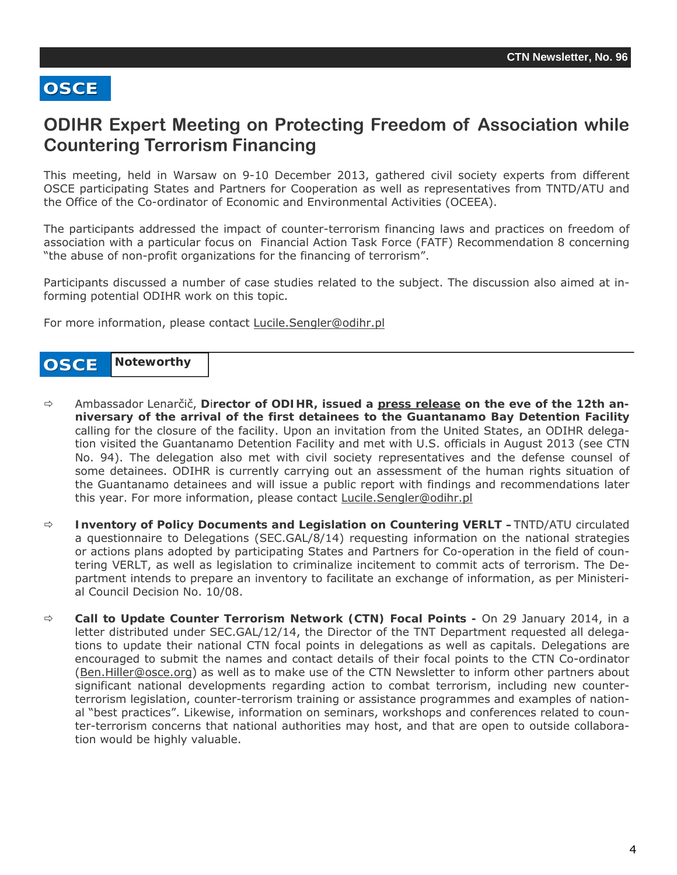## <span id="page-3-0"></span>**ODIHR Expert Meeting on Protecting Freedom of Association while Countering Terrorism Financing**

This meeting, held in Warsaw on 9-10 December 2013, gathered civil society experts from different OSCE participating States and Partners for Cooperation as well as representatives from TNTD/ATU and the Office of the Co-ordinator of Economic and Environmental Activities (OCEEA).

The participants addressed the impact of counter-terrorism financing laws and practices on freedom of association with a particular focus on Financial Action Task Force (FATF) Recommendation 8 concerning "the abuse of non-profit organizations for the financing of terrorism".

Participants discussed a number of case studies related to the subject. The discussion also aimed at informing potential ODIHR work on this topic.

For more information, please contact [Lucile.Sengler@odihr.pl](mailto:Lucile.Sengler@odihr.pl)

#### **OSCE Noteworthy**

- Ambassador Lenarčič, **D**i**rector of ODIHR, issued a [press release](http://www.osce.org/odihr/110266) on the eve of the 12th anniversary of the arrival of the first detainees to the Guantanamo Bay Detention Facility** calling for the closure of the facility. Upon an invitation from the United States, an ODIHR delegation visited the Guantanamo Detention Facility and met with U.S. officials in August 2013 (see CTN No. 94). The delegation also met with civil society representatives and the defense counsel of some detainees. ODIHR is currently carrying out an assessment of the human rights situation of the Guantanamo detainees and will issue a public report with findings and recommendations later this year. For more information, please contact Lucile.Sengler@odihr.pl
- **Inventory of Policy Documents and Legislation on Countering VERLT –**TNTD/ATU circulated a questionnaire to Delegations (SEC.GAL/8/14) requesting information on the national strategies or actions plans adopted by participating States and Partners for Co-operation in the field of countering VERLT, as well as legislation to criminalize incitement to commit acts of terrorism. The Department intends to prepare an inventory to facilitate an exchange of information, as per Ministerial Council Decision No. 10/08.
- **Call to Update Counter Terrorism Network (CTN) Focal Points** On 29 January 2014, in a letter distributed under SEC.GAL/12/14, the Director of the TNT Department requested all delegations to update their national CTN focal points in delegations as well as capitals. Delegations are encouraged to submit the names and contact details of their focal points to the CTN Co-ordinator ([Ben.Hiller@osce.org\)](mailto:Ben.Hiller@osce.org) as well as to make use of the CTN Newsletter to inform other partners about significant national developments regarding action to combat terrorism, including new counterterrorism legislation, counter-terrorism training or assistance programmes and examples of national "best practices". Likewise, information on seminars, workshops and conferences related to counter-terrorism concerns that national authorities may host, and that are open to outside collaboration would be highly valuable.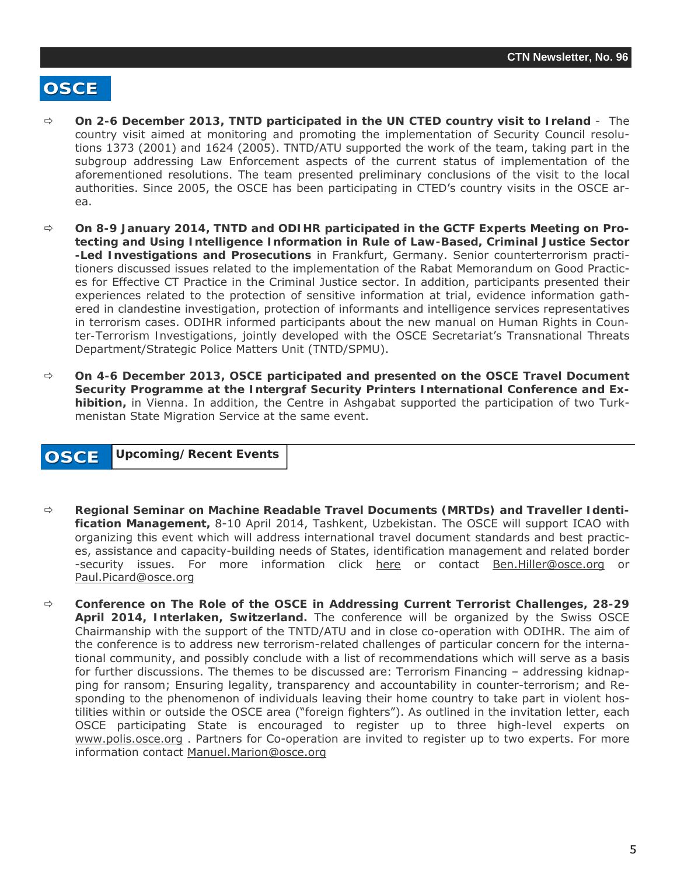- <span id="page-4-0"></span> **On 2-6 December 2013, TNTD participated in the UN CTED country visit to Ireland** - The country visit aimed at monitoring and promoting the implementation of Security Council resolutions 1373 (2001) and 1624 (2005). TNTD/ATU supported the work of the team, taking part in the subgroup addressing Law Enforcement aspects of the current status of implementation of the aforementioned resolutions. The team presented preliminary conclusions of the visit to the local authorities. Since 2005, the OSCE has been participating in CTED's country visits in the OSCE area.
- **On 8-9 January 2014, TNTD and ODIHR participated in the GCTF Experts Meeting on Protecting and Using Intelligence Information in Rule of Law-Based, Criminal Justice Sector -Led Investigations and Prosecutions** in Frankfurt, Germany. Senior counterterrorism practitioners discussed issues related to the implementation of the Rabat Memorandum on Good Practices for Effective CT Practice in the Criminal Justice sector. In addition, participants presented their experiences related to the protection of sensitive information at trial, evidence information gathered in clandestine investigation, protection of informants and intelligence services representatives in terrorism cases. ODIHR informed participants about the new manual on *Human Rights in Counter-Terrorism Investigations*, jointly developed with the OSCE Secretariat's Transnational Threats Department/Strategic Police Matters Unit (TNTD/SPMU).
- **On 4-6 December 2013, OSCE participated and presented on the OSCE Travel Document Security Programme at the Intergraf Security Printers International Conference and Exhibition,** in Vienna. In addition, the Centre in Ashgabat supported the participation of two Turkmenistan State Migration Service at the same event.

#### **OSCE Upcoming/Recent Events**

- **Regional Seminar on Machine Readable Travel Documents (MRTDs) and Traveller Identification Management,** 8-10 April 2014, Tashkent, Uzbekistan. The OSCE will support ICAO with organizing this event which will address international travel document standards and best practices, assistance and capacity-building needs of States, identification management and related border -security issues. For more information click [here](http://www.icao.int/Meetings/mrtd-tashkent-2014/Pages/default.aspx) or contact Ben. Hiller@osce.org or [Paul.Picard@osce.org](mailto:Paul.Picard@osce.org)
- **Conference on The Role of the OSCE in Addressing Current Terrorist Challenges, 28-29 April 2014, Interlaken, Switzerland.** The conference will be organized by the Swiss OSCE Chairmanship with the support of the TNTD/ATU and in close co-operation with ODIHR. The aim of the conference is to address new terrorism-related challenges of particular concern for the international community, and possibly conclude with a list of recommendations which will serve as a basis for further discussions. The themes to be discussed are: Terrorism Financing – addressing kidnapping for ransom; Ensuring legality, transparency and accountability in counter-terrorism; and Responding to the phenomenon of individuals leaving their home country to take part in violent hostilities within or outside the OSCE area ("foreign fighters"). As outlined in the invitation letter, each OSCE participating State is encouraged to register up to three high-level experts on [www.polis.osce.org](http://www.polis.osce.org) . Partners for Co-operation are invited to register up to two experts. For more information contact [Manuel.Marion@osce.org](mailto:Manuel.Marion@osce.org)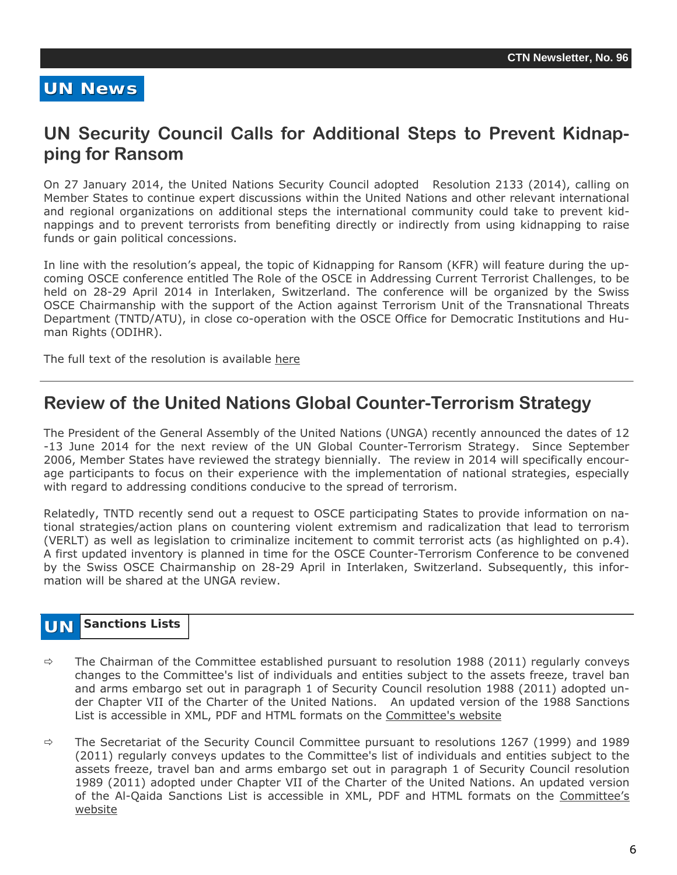#### **UN News**

#### **UN Security Council Calls for Additional Steps to Prevent Kidnapping for Ransom**

On 27 January 2014, the United Nations Security Council adoptedResolution 2133 (2014), calling on Member States to continue expert discussions within the United Nations and other relevant international and regional organizations on additional steps the international community could take to prevent kidnappings and to prevent terrorists from benefiting directly or indirectly from using kidnapping to raise funds or gain political concessions.

In line with the resolution's appeal, the topic of Kidnapping for Ransom (KFR) will feature during the upcoming OSCE conference entitled *The Role of the OSCE in Addressing Current Terrorist Challenges,* to be held on 28-29 April 2014 in Interlaken, Switzerland. The conference will be organized by the Swiss OSCE Chairmanship with the support of the Action against Terrorism Unit of the Transnational Threats Department (TNTD/ATU), in close co-operation with the OSCE Office for Democratic Institutions and Human Rights (ODIHR).

The full text of the resolution is available [here](http://www.un.org/News/Press/docs/2014/sc11262.doc.htm)

#### **Review of the United Nations Global Counter-Terrorism Strategy**

The President of the General Assembly of the United Nations (UNGA) recently announced the dates of 12 -13 June 2014 for the next review of the UN Global Counter-Terrorism Strategy. Since September 2006, Member States have reviewed the strategy biennially. The review in 2014 will specifically encourage participants to focus on their experience with the implementation of national strategies, especially with regard to addressing conditions conducive to the spread of terrorism.

Relatedly, TNTD recently send out a request to OSCE participating States to provide information on national strategies/action plans on countering violent extremism and radicalization that lead to terrorism (VERLT) as well as legislation to criminalize incitement to commit terrorist acts (as highlighted on p.4). A first updated inventory is planned in time for the OSCE Counter-Terrorism Conference to be convened by the Swiss OSCE Chairmanship on 28-29 April in Interlaken, Switzerland. Subsequently, this information will be shared at the UNGA review.

#### **UN Sanctions Lists**

- $\Rightarrow$  The Chairman of the Committee established pursuant to resolution 1988 (2011) regularly conveys changes to the Committee's list of individuals and entities subject to the assets freeze, travel ban and arms embargo set out in paragraph 1 of Security Council resolution 1988 (2011) adopted under Chapter VII of the Charter of the United Nations. An updated version of the 1988 Sanctions List is accessible in XML, PDF and HTML formats on the Committee's website
- $\Rightarrow$  The Secretariat of the Security Council Committee pursuant to resolutions 1267 (1999) and 1989 (2011) regularly conveys updates to the Committee's list of individuals and entities subject to the assets freeze, travel ban and arms embargo set out in paragraph 1 of Security Council resolution 1989 (2011) adopted under Chapter VII of the Charter of the United Nations. An updated version of the Al-Qaida Sanctions List is accessible in XML, PDF and HTML formats on the [Committee's](http://www.un.org/sc/committees/1267/aq_sanctions_list.shtml.) [website](http://www.un.org/sc/committees/1267/aq_sanctions_list.shtml.)